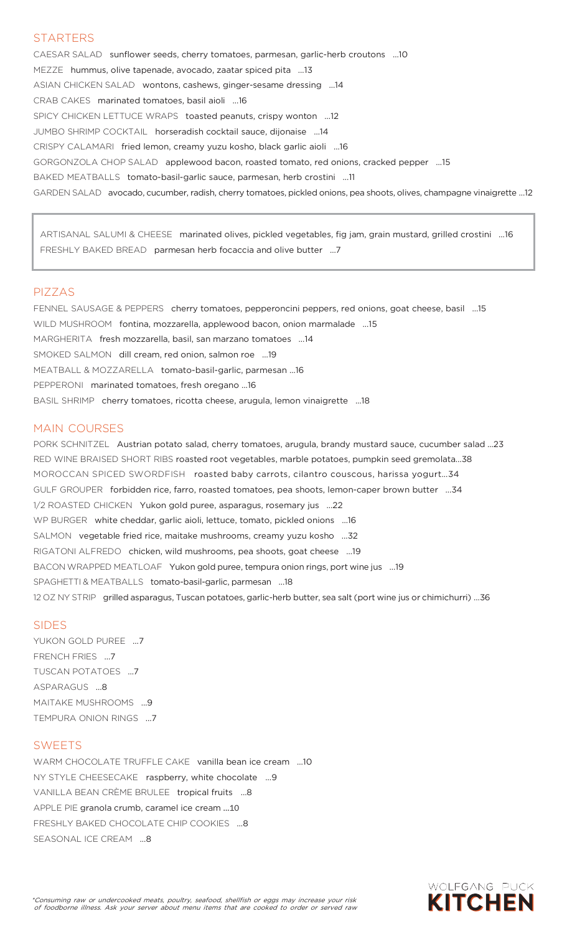### STARTERS

CAESAR SALAD sunflower seeds, cherry tomatoes, parmesan, garlic-herb croutons …10 MEZZE hummus, olive tapenade, avocado, zaatar spiced pita …13 ASIAN CHICKEN SALAD wontons, cashews, ginger-sesame dressing …14 CRAB CAKES marinated tomatoes, basil aioli …16 SPICY CHICKEN LETTUCE WRAPS toasted peanuts, crispy wonton …12 JUMBO SHRIMP COCKTAIL horseradish cocktail sauce, dijonaise …14 CRISPY CALAMARI fried lemon, creamy yuzu kosho, black garlic aioli …16 GORGONZOLA CHOP SALAD applewood bacon, roasted tomato, red onions, cracked pepper …15 BAKED MEATBALLS tomato-basil-garlic sauce, parmesan, herb crostini …11 GARDEN SALAD avocado, cucumber, radish, cherry tomatoes, pickled onions, pea shoots, olives, champagne vinaigrette …12

ARTISANAL SALUMI & CHEESE marinated olives, pickled vegetables, fig jam, grain mustard, grilled crostini …16 FRESHLY BAKED BREAD parmesan herb focaccia and olive butter …7

### PIZZAS

FENNEL SAUSAGE & PEPPERS cherry tomatoes, pepperoncini peppers, red onions, goat cheese, basil …15 WILD MUSHROOM fontina, mozzarella, applewood bacon, onion marmalade …15 MARGHERITA fresh mozzarella, basil, san marzano tomatoes …14 SMOKED SALMON dill cream, red onion, salmon roe …19 MEATBALL & MOZZARELLA tomato-basil-garlic, parmesan …16 PEPPERONI marinated tomatoes, fresh oregano …16 BASIL SHRIMP cherry tomatoes, ricotta cheese, arugula, lemon vinaigrette …18

### MAIN COURSES

PORK SCHNITZEL Austrian potato salad, cherry tomatoes, arugula, brandy mustard sauce, cucumber salad ...23 RED WINE BRAISED SHORT RIBS roasted root vegetables, marble potatoes, pumpkin seed gremolata…38 MOROCCAN SPICED SWORDFISH roasted baby carrots, cilantro couscous, harissa yogurt…34 GULF GROUPER forbidden rice, farro, roasted tomatoes, pea shoots, lemon-caper brown butter …34 1/2 ROASTED CHICKEN Yukon gold puree, asparagus, rosemary jus …22 WP BURGER white cheddar, garlic aioli, lettuce, tomato, pickled onions …16 SALMON vegetable fried rice, maitake mushrooms, creamy yuzu kosho …32 RIGATONI ALFREDO chicken, wild mushrooms, pea shoots, goat cheese …19 BACON WRAPPED MEATLOAF Yukon gold puree, tempura onion rings, port wine jus …19 SPAGHETTI & MEATBALLS tomato-basil-garlic, parmesan …18 12 OZ NY STRIP grilled asparagus, Tuscan potatoes, garlic-herb butter, sea salt (port wine jus or chimichurri) …36

#### SIDES

YUKON GOLD PUREE …7 FRENCH FRIES …7 TUSCAN POTATOES …7 ASPARAGUS …8 MAITAKE MUSHROOMS …9 TEMPURA ONION RINGS …7

### SWEETS

WARM CHOCOLATE TRUFFLE CAKE vanilla bean ice cream …10 NY STYLE CHEESECAKE raspberry, white chocolate …9 VANILLA BEAN CRÈME BRULEE tropical fruits …8 APPLE PIE granola crumb, caramel ice cream …10 FRESHLY BAKED CHOCOLATE CHIP COOKIES …8 SEASONAL ICE CREAM …8